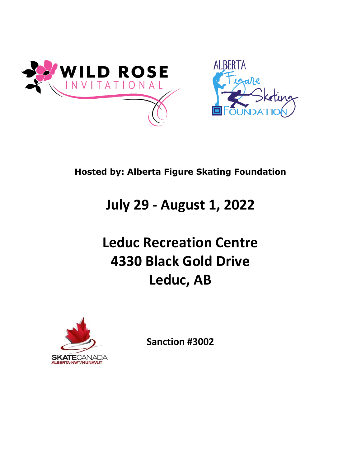



## **Hosted by: Alberta Figure Skating Foundation**

## **July 29 - August 1, 2022**

# **Leduc Recreation Centre 4330 Black Gold Drive Leduc, AB**



**Sanction #3002**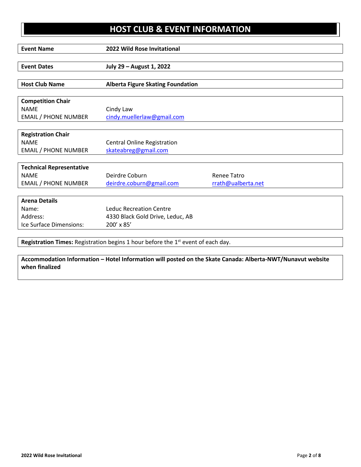## **HOST CLUB & EVENT INFORMATION**

| <b>Event Name</b>                                                                         | <b>2022 Wild Rose Invitational</b>       |                    |  |  |
|-------------------------------------------------------------------------------------------|------------------------------------------|--------------------|--|--|
|                                                                                           |                                          |                    |  |  |
| <b>Event Dates</b>                                                                        | July 29 - August 1, 2022                 |                    |  |  |
|                                                                                           |                                          |                    |  |  |
| <b>Host Club Name</b>                                                                     | <b>Alberta Figure Skating Foundation</b> |                    |  |  |
|                                                                                           |                                          |                    |  |  |
| <b>Competition Chair</b>                                                                  |                                          |                    |  |  |
| <b>NAME</b>                                                                               | Cindy Law                                |                    |  |  |
| <b>EMAIL / PHONE NUMBER</b>                                                               | cindy.muellerlaw@gmail.com               |                    |  |  |
|                                                                                           |                                          |                    |  |  |
| <b>Registration Chair</b>                                                                 |                                          |                    |  |  |
| <b>NAME</b>                                                                               | <b>Central Online Registration</b>       |                    |  |  |
| <b>EMAIL / PHONE NUMBER</b>                                                               | skateabreg@gmail.com                     |                    |  |  |
|                                                                                           |                                          |                    |  |  |
| <b>Technical Representative</b>                                                           |                                          |                    |  |  |
| <b>NAME</b>                                                                               | Deirdre Coburn                           | <b>Renee Tatro</b> |  |  |
| <b>EMAIL / PHONE NUMBER</b>                                                               | deirdre.coburn@gmail.com                 | rrath@ualberta.net |  |  |
| <b>Arena Details</b>                                                                      |                                          |                    |  |  |
| Name:                                                                                     | <b>Leduc Recreation Centre</b>           |                    |  |  |
| Address:                                                                                  |                                          |                    |  |  |
|                                                                                           | 4330 Black Gold Drive, Leduc, AB         |                    |  |  |
| Ice Surface Dimensions:                                                                   | 200' x 85'                               |                    |  |  |
|                                                                                           |                                          |                    |  |  |
| <b>Registration Times:</b> Registration begins 1 hour before the $1st$ event of each day. |                                          |                    |  |  |

**Accommodation Information – Hotel Information will posted on the Skate Canada: Alberta-NWT/Nunavut website when finalized**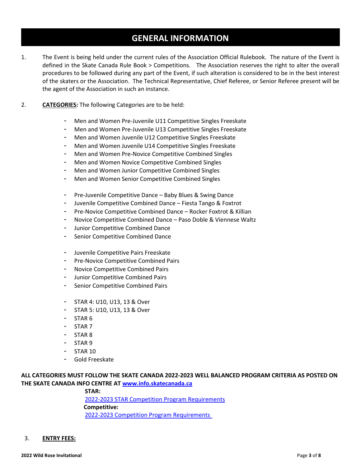### **GENERAL INFORMATION**

- 1. The Event is being held under the current rules of the Association Official Rulebook. The nature of the Event is defined in the Skate Canada Rule Book > Competitions. The Association reserves the right to alter the overall procedures to be followed during any part of the Event, if such alteration is considered to be in the best interest of the skaters or the Association. The Technical Representative, Chief Referee, or Senior Referee present will be the agent of the Association in such an instance.
- 2. **CATEGORIES:** The following Categories are to be held:
	- Men and Women Pre-Juvenile U11 Competitive Singles Freeskate
	- Men and Women Pre-Juvenile U13 Competitive Singles Freeskate
	- Men and Women Juvenile U12 Competitive Singles Freeskate
	- Men and Women Juvenile U14 Competitive Singles Freeskate
	- Men and Women Pre-Novice Competitive Combined Singles
	- Men and Women Novice Competitive Combined Singles
	- Men and Women Junior Competitive Combined Singles
	- Men and Women Senior Competitive Combined Singles
	- Pre-Juvenile Competitive Dance Baby Blues & Swing Dance
	- Juvenile Competitive Combined Dance Fiesta Tango & Foxtrot
	- Pre-Novice Competitive Combined Dance Rocker Foxtrot & Killian
	- Novice Competitive Combined Dance Paso Doble & Viennese Waltz
	- Junior Competitive Combined Dance
	- Senior Competitive Combined Dance
	- Juvenile Competitive Pairs Freeskate
	- Pre-Novice Competitive Combined Pairs
	- Novice Competitive Combined Pairs
	- Junior Competitive Combined Pairs
	- Senior Competitive Combined Pairs
	- STAR 4: U10, U13, 13 & Over
	- STAR 5: U10, U13, 13 & Over
	- STAR 6
	- STAR 7
	- STAR 8
	- STAR<sub>9</sub>
	- **STAR 10**
	- Gold Freeskate

#### **ALL CATEGORIES MUST FOLLOW THE SKATE CANADA 2022-2023 WELL BALANCED PROGRAM CRITERIA AS POSTED ON THE SKATE CANADA INFO CENTRE A[T www.info.skatecanada.ca](http://www.info.skatecanada.ca/)**

**STAR:**

2022-2023 [STAR Competition Program Requirements](https://info.skatecanada.ca/index.php/en-ca/rules-of-sport/265-star-competition-program-requirements.html) **Competitive:** 2022-2023 [Competition Program Requirements](https://info.skatecanada.ca/index.php/en-ca/rules-of-sport/261-competitive-competition-program-requirements.html)

3. **ENTRY FEES:**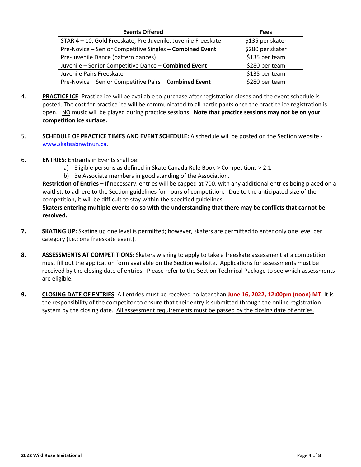| <b>Events Offered</b>                                       | <b>Fees</b>      |  |
|-------------------------------------------------------------|------------------|--|
| STAR 4-10, Gold Freeskate, Pre-Juvenile, Juvenile Freeskate | \$135 per skater |  |
| Pre-Novice - Senior Competitive Singles - Combined Event    | \$280 per skater |  |
| Pre-Juvenile Dance (pattern dances)                         | \$135 per team   |  |
| Juvenile - Senior Competitive Dance - Combined Event        | \$280 per team   |  |
| Juvenile Pairs Freeskate                                    | \$135 per team   |  |
| Pre-Novice - Senior Competitive Pairs - Combined Event      | \$280 per team   |  |

- 4. **PRACTICE ICE**: Practice ice will be available to purchase after registration closes and the event schedule is posted. The cost for practice ice will be communicated to all participants once the practice ice registration is open. NO music will be played during practice sessions. **Note that practice sessions may not be on your competition ice surface.**
- 5. **SCHEDULE OF PRACTICE TIMES AND EVENT SCHEDULE:** A schedule will be posted on the Section website [www.skateabnwtnun.ca.](http://www.skateabnwtnun.ca/)
- 6. **ENTRIES**: Entrants in Events shall be:
	- a) Eligible persons as defined in Skate Canada Rule Book > Competitions > 2.1
	- b) Be Associate members in good standing of the Association.

**Restriction of Entries –** If necessary, entries will be capped at 700, with any additional entries being placed on a waitlist, to adhere to the Section guidelines for hours of competition. Due to the anticipated size of the competition, it will be difficult to stay within the specified guidelines.

**Skaters entering multiple events do so with the understanding that there may be conflicts that cannot be resolved.**

- **7. SKATING UP:** Skating up one level is permitted; however, skaters are permitted to enter only one level per category (i.e.: one freeskate event).
- **8. ASSESSMENTS AT COMPETITIONS**: Skaters wishing to apply to take a freeskate assessment at a competition must fill out the application form available on the Section website. Applications for assessments must be received by the closing date of entries. Please refer to the Section Technical Package to see which assessments are eligible.
- **9. CLOSING DATE OF ENTRIES**: All entries must be received no later than **June 16, 2022, 12:00pm (noon) MT**. It is the responsibility of the competitor to ensure that their entry is submitted through the online registration system by the closing date. All assessment requirements must be passed by the closing date of entries.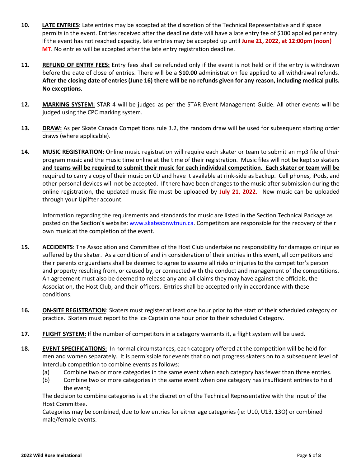- **10. LATE ENTRIES**: Late entries may be accepted at the discretion of the Technical Representative and if space permits in the event. Entries received after the deadline date will have a late entry fee of \$100 applied per entry. If the event has not reached capacity, late entries may be accepted up until **June 21, 2022, at 12:00pm (noon) MT**. No entries will be accepted after the late entry registration deadline.
- **11. REFUND OF ENTRY FEES:** Entry fees shall be refunded only if the event is not held or if the entry is withdrawn before the date of close of entries. There will be a **\$10.00** administration fee applied to all withdrawal refunds. **After the closing date of entries (June 16) there will be no refunds given for any reason, including medical pulls. No exceptions.**
- **12. MARKING SYSTEM:** STAR 4 will be judged as per the STAR Event Management Guide. All other events will be judged using the CPC marking system.
- **13. DRAW:** As per Skate Canada Competitions rule 3.2, the random draw will be used for subsequent starting order draws (where applicable).
- **14. MUSIC REGISTRATION:** Online music registration will require each skater or team to submit an mp3 file of their program music and the music time online at the time of their registration. Music files will not be kept so skaters **and teams will be required to submit their music for each individual competition. Each skater or team will be** required to carry a copy of their music on CD and have it available at rink-side as backup. Cell phones, iPods, and other personal devices will not be accepted. If there have been changes to the music after submission during the online registration, the updated music file must be uploaded by **July 21, 2022.** New music can be uploaded through your Uplifter account.

Information regarding the requirements and standards for music are listed in the Section Technical Package as posted on the Section's website: [www.skateabnwtnun.ca.](http://www.skateabnwtnun.ca/) Competitors are responsible for the recovery of their own music at the completion of the event.

- **15. ACCIDENTS**: The Association and Committee of the Host Club undertake no responsibility for damages or injuries suffered by the skater. As a condition of and in consideration of their entries in this event, all competitors and their parents or guardians shall be deemed to agree to assume all risks or injuries to the competitor's person and property resulting from, or caused by, or connected with the conduct and management of the competitions. An agreement must also be deemed to release any and all claims they may have against the officials, the Association, the Host Club, and their officers. Entries shall be accepted only in accordance with these conditions.
- **16. ON-SITE REGISTRATION**: Skaters must register at least one hour prior to the start of their scheduled category or practice. Skaters must report to the Ice Captain one hour prior to their scheduled Category.
- **17. FLIGHT SYSTEM:** If the number of competitors in a category warrants it, a flight system will be used.
- **18. EVENT SPECIFICATIONS:** In normal circumstances, each category offered at the competition will be held for men and women separately. It is permissible for events that do not progress skaters on to a subsequent level of Interclub competition to combine events as follows:
	- (a) Combine two or more categories in the same event when each category has fewer than three entries.
	- (b) Combine two or more categories in the same event when one category has insufficient entries to hold the event;

The decision to combine categories is at the discretion of the Technical Representative with the input of the Host Committee.

Categories may be combined, due to low entries for either age categories (ie: U10, U13, 13O) or combined male/female events.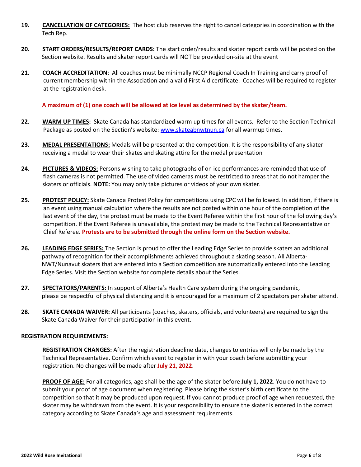- **19. CANCELLATION OF CATEGORIES:** The host club reserves the right to cancel categories in coordination with the Tech Rep.
- **20. START ORDERS/RESULTS/REPORT CARDS:** The start order/results and skater report cards will be posted on the Section website. Results and skater report cards will NOT be provided on-site at the event
- **21. COACH ACCREDITATION**: All coaches must be minimally NCCP Regional Coach In Training and carry proof of current membership within the Association and a valid First Aid certificate. Coaches will be required to register at the registration desk.

#### **A maximum of (1) one coach will be allowed at ice level as determined by the skater/team.**

- **22. WARM UP TIMES:** Skate Canada has standardized warm up times for all events. Refer to the Section Technical Package as posted on the Section's website: [www.skateabnwtnun.ca](http://www.skateabnwtnun.ca/) for all warmup times.
- **23. MEDAL PRESENTATIONS:** Medals will be presented at the competition. It is the responsibility of any skater receiving a medal to wear their skates and skating attire for the medal presentation
- **24. PICTURES & VIDEOS:** Persons wishing to take photographs of on ice performances are reminded that use of flash cameras is not permitted. The use of video cameras must be restricted to areas that do not hamper the skaters or officials. **NOTE:** You may only take pictures or videos of your own skater.
- **25. PROTEST POLICY:** Skate Canada Protest Policy for competitions using CPC will be followed. In addition, if there is an event using manual calculation where the results are not posted within one hour of the completion of the last event of the day, the protest must be made to the Event Referee within the first hour of the following day's competition. If the Event Referee is unavailable, the protest may be made to the Technical Representative or Chief Referee. **Protests are to be submitted through the online form on the Section website.**
- **26. LEADING EDGE SERIES:** The Section is proud to offer the Leading Edge Series to provide skaters an additional pathway of recognition for their accomplishments achieved throughout a skating season. All Alberta- NWT/Nunavut skaters that are entered into a Section competition are automatically entered into the Leading Edge Series. Visit the Section website for complete details about the Series.
- **27. SPECTATORS/PARENTS:** In support of Alberta's Health Care system during the ongoing pandemic, please be respectful of physical distancing and it is encouraged for a maximum of 2 spectators per skater attend.
- **28. SKATE CANADA WAIVER:** All participants (coaches, skaters, officials, and volunteers) are required to sign the Skate Canada Waiver for their participation in this event.

#### **REGISTRATION REQUIREMENTS:**

**REGISTRATION CHANGES:** After the registration deadline date, changes to entries will only be made by the Technical Representative. Confirm which event to register in with your coach before submitting your registration. No changes will be made after **July 21, 2022**.

**PROOF OF AGE:** For all categories, age shall be the age of the skater before **July 1, 2022**. You do not have to submit your proof of age document when registering. Please bring the skater's birth certificate to the competition so that it may be produced upon request. If you cannot produce proof of age when requested, the skater may be withdrawn from the event. It is your responsibility to ensure the skater is entered in the correct category according to Skate Canada's age and assessment requirements.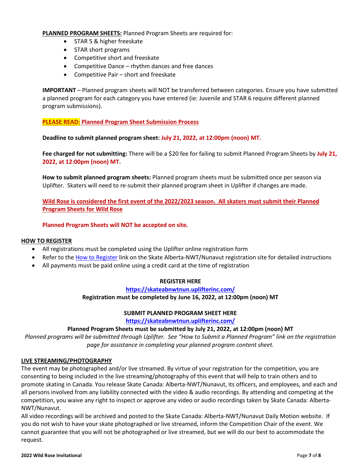**PLANNED PROGRAM SHEETS:** Planned Program Sheets are required for:

- STAR 5 & higher freeskate
- STAR short programs
- Competitive short and freeskate
- Competitive Dance rhythm dances and free dances
- Competitive Pair short and freeskate

**IMPORTANT** – Planned program sheets will NOT be transferred between categories. Ensure you have submitted a planned program for each category you have entered (ie: Juvenile and STAR 6 require different planned program submissions).

#### **PLEASE READ: Planned Program Sheet Submission Process**

**Deadline to submit planned program sheet: July 21, 2022, at 12:00pm (noon) MT.**

**Fee charged for not submitting:** There will be a \$20 fee for failing to submit Planned Program Sheets by **July 21, 2022, at 12:00pm (noon) MT.**

**How to submit planned program sheets:** Planned program sheets must be submitted once per season via Uplifter. Skaters will need to re-submit their planned program sheet in Uplifter if changes are made.

**Wild Rose is considered the first event of the 2022/2023 season. All skaters must submit their Planned Program Sheets for Wild Rose**

**Planned Program Sheets will NOT be accepted on site.**

#### **HOW TO REGISTER**

- All registrations must be completed using the Uplifter online registration form
- Refer to the [How to Register](https://skateabnwtnun.uplifterinc.com/pages/How-to-Register/) link on the Skate Alberta-NWT/Nunavut registration site for detailed instructions
- All payments must be paid online using a credit card at the time of registration

#### **REGISTER HERE**

#### **<https://skateabnwtnun.uplifterinc.com/>**

#### **Registration must be completed by June 16, 2022, at 12:00pm (noon) MT**

#### **SUBMIT PLANNED PROGRAM SHEET HERE**

**<https://skateabnwtnun.uplifterinc.com/>**

#### **Planned Program Sheets must be submitted by July 21, 2022, at 12:00pm (noon) MT**

*Planned programs will be submitted through Uplifter. See "How to Submit a Planned Program" link on the registration page for assistance in completing your planned program content sheet.*

#### **LIVE STREAMING/PHOTOGRAPHY**

The event may be photographed and/or live streamed. By virtue of your registration for the competition, you are consenting to being included in the live streaming/photography of this event that will help to train others and to promote skating in Canada. You release Skate Canada: Alberta-NWT/Nunavut, its officers, and employees, and each and all persons involved from any liability connected with the video & audio recordings. By attending and competing at the competition, you waive any right to inspect or approve any video or audio recordings taken by Skate Canada: Alberta-NWT/Nunavut.

All video recordings will be archived and posted to the Skate Canada: Alberta-NWT/Nunavut Daily Motion website. If you do not wish to have your skate photographed or live streamed, inform the Competition Chair of the event. We cannot guarantee that you will not be photographed or live streamed, but we will do our best to accommodate the request.